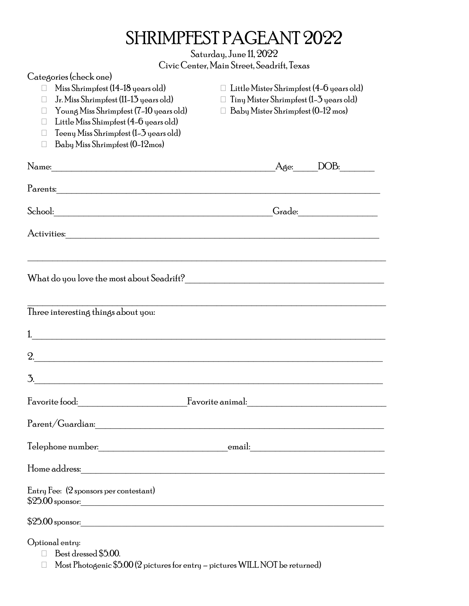# SHRIMPFEST PAGEANT 2022

Saturday, June 11, 2022 Civic Center, Main Street, Seadrift, Texas

| Categories (check one)                                                                                                |                                                 |
|-----------------------------------------------------------------------------------------------------------------------|-------------------------------------------------|
| Miss Shrimpfest (14-18 years old)                                                                                     | $\Box$ Little Mister Shrimpfest (4–6 years old) |
| Jr. Miss Shrimpfest (11-13 years old)<br>Ш                                                                            | Tiny Mister Shrimpfest (1–3 years old)<br>U     |
| Young Miss Shrimpfest (7-10 years old)<br>$\mathbf{L}$                                                                | Baby Mister Shrimpfest (0-12 mos)               |
| Little Miss Shimpfest (4-6 years old)<br>$\mathbf{L}$                                                                 |                                                 |
| Teeny Miss Shrimpfest (1-3 years old)                                                                                 |                                                 |
| Baby Miss Shrimpfest (0-12mos)<br>$\mathbf{L}$                                                                        |                                                 |
|                                                                                                                       | DOB:<br>Age:                                    |
| Parents:                                                                                                              |                                                 |
|                                                                                                                       |                                                 |
|                                                                                                                       |                                                 |
|                                                                                                                       |                                                 |
|                                                                                                                       |                                                 |
|                                                                                                                       |                                                 |
|                                                                                                                       |                                                 |
| Three interesting things about you:                                                                                   |                                                 |
| <u> 1989 - Johann John Stein, mars ar yw i brenin y cynnwys y cynnwys y cynnwys y cynnwys y cynnwys y cynnwys y c</u> |                                                 |
| <u> 1989 - Jan James James, martin amerikan basar dan berasal dalam berasal dalam berasal dalam berasal dalam be</u>  |                                                 |
| 3.                                                                                                                    |                                                 |
|                                                                                                                       |                                                 |
|                                                                                                                       |                                                 |
|                                                                                                                       |                                                 |
|                                                                                                                       |                                                 |
| Entry Fee: (2 sponsors per contestant)                                                                                |                                                 |
|                                                                                                                       |                                                 |
| $$25.00$ sponsor:                                                                                                     |                                                 |
| Optional entry:                                                                                                       |                                                 |
| Best dressed \$5.00.<br>П                                                                                             |                                                 |
| Most Photogenic \$5.00 (2 pictures for entry - pictures WILL NOT be returned)                                         |                                                 |